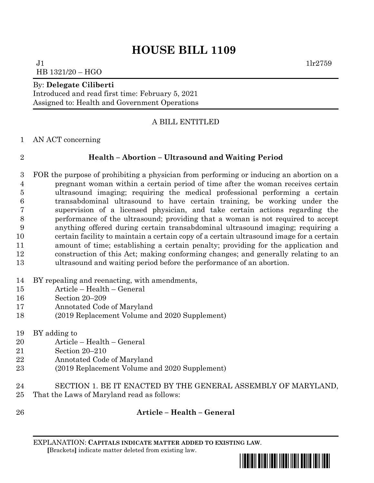# **HOUSE BILL 1109**

 $J1$   $11r2759$ HB 1321/20 – HGO

### By: **Delegate Ciliberti**

Introduced and read first time: February 5, 2021 Assigned to: Health and Government Operations

### A BILL ENTITLED

AN ACT concerning

## **Health – Abortion – Ultrasound and Waiting Period**

- FOR the purpose of prohibiting a physician from performing or inducing an abortion on a pregnant woman within a certain period of time after the woman receives certain ultrasound imaging; requiring the medical professional performing a certain transabdominal ultrasound to have certain training, be working under the supervision of a licensed physician, and take certain actions regarding the performance of the ultrasound; providing that a woman is not required to accept anything offered during certain transabdominal ultrasound imaging; requiring a certain facility to maintain a certain copy of a certain ultrasound image for a certain amount of time; establishing a certain penalty; providing for the application and construction of this Act; making conforming changes; and generally relating to an ultrasound and waiting period before the performance of an abortion.
- BY repealing and reenacting, with amendments,
- Article Health General
- Section 20–209
- Annotated Code of Maryland
- (2019 Replacement Volume and 2020 Supplement)
- BY adding to
- Article Health General
- Section 20–210
- Annotated Code of Maryland
- (2019 Replacement Volume and 2020 Supplement)
- SECTION 1. BE IT ENACTED BY THE GENERAL ASSEMBLY OF MARYLAND,
- That the Laws of Maryland read as follows:
- 

# **Article – Health – General**

EXPLANATION: **CAPITALS INDICATE MATTER ADDED TO EXISTING LAW**.  **[**Brackets**]** indicate matter deleted from existing law.

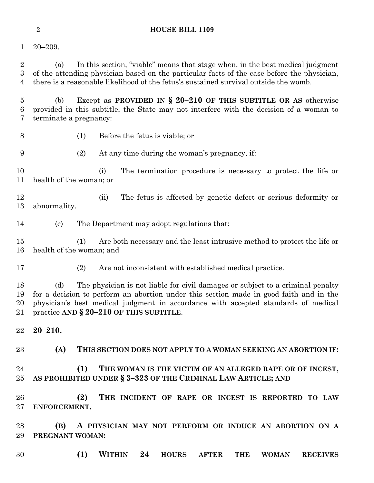### **HOUSE BILL 1109**

20–209.

 (a) In this section, "viable" means that stage when, in the best medical judgment of the attending physician based on the particular facts of the case before the physician, there is a reasonable likelihood of the fetus's sustained survival outside the womb.

 (b) Except as **PROVIDED IN § 20–210 OF THIS SUBTITLE OR AS** otherwise provided in this subtitle, the State may not interfere with the decision of a woman to terminate a pregnancy:

(1) Before the fetus is viable; or

(2) At any time during the woman's pregnancy, if:

 (i) The termination procedure is necessary to protect the life or health of the woman; or

 (ii) The fetus is affected by genetic defect or serious deformity or abnormality.

(c) The Department may adopt regulations that:

 (1) Are both necessary and the least intrusive method to protect the life or health of the woman; and

(2) Are not inconsistent with established medical practice.

 (d) The physician is not liable for civil damages or subject to a criminal penalty for a decision to perform an abortion under this section made in good faith and in the physician's best medical judgment in accordance with accepted standards of medical practice **AND § 20–210 OF THIS SUBTITLE**.

**20–210.**

**(A) THIS SECTION DOES NOT APPLY TO A WOMAN SEEKING AN ABORTION IF:**

 **(1) THE WOMAN IS THE VICTIM OF AN ALLEGED RAPE OR OF INCEST, AS PROHIBITED UNDER § 3–323 OF THE CRIMINAL LAW ARTICLE; AND**

 **(2) THE INCIDENT OF RAPE OR INCEST IS REPORTED TO LAW ENFORCEMENT.**

 **(B) A PHYSICIAN MAY NOT PERFORM OR INDUCE AN ABORTION ON A PREGNANT WOMAN:**

**(1) WITHIN 24 HOURS AFTER THE WOMAN RECEIVES**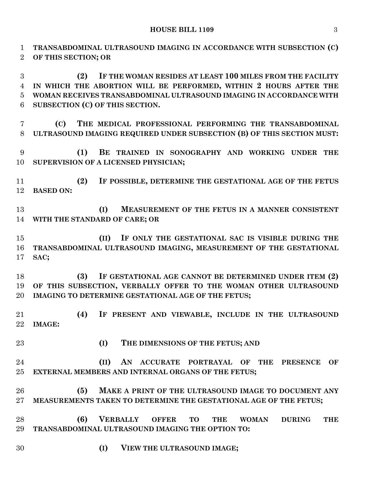**TRANSABDOMINAL ULTRASOUND IMAGING IN ACCORDANCE WITH SUBSECTION (C) OF THIS SECTION; OR**

 **(2) IF THE WOMAN RESIDES AT LEAST 100 MILES FROM THE FACILITY IN WHICH THE ABORTION WILL BE PERFORMED, WITHIN 2 HOURS AFTER THE WOMAN RECEIVES TRANSABDOMINAL ULTRASOUND IMAGING IN ACCORDANCE WITH SUBSECTION (C) OF THIS SECTION.**

 **(C) THE MEDICAL PROFESSIONAL PERFORMING THE TRANSABDOMINAL ULTRASOUND IMAGING REQUIRED UNDER SUBSECTION (B) OF THIS SECTION MUST:**

 **(1) BE TRAINED IN SONOGRAPHY AND WORKING UNDER THE SUPERVISION OF A LICENSED PHYSICIAN;**

 **(2) IF POSSIBLE, DETERMINE THE GESTATIONAL AGE OF THE FETUS BASED ON:**

 **(I) MEASUREMENT OF THE FETUS IN A MANNER CONSISTENT WITH THE STANDARD OF CARE; OR**

 **(II) IF ONLY THE GESTATIONAL SAC IS VISIBLE DURING THE TRANSABDOMINAL ULTRASOUND IMAGING, MEASUREMENT OF THE GESTATIONAL SAC;**

 **(3) IF GESTATIONAL AGE CANNOT BE DETERMINED UNDER ITEM (2) OF THIS SUBSECTION, VERBALLY OFFER TO THE WOMAN OTHER ULTRASOUND IMAGING TO DETERMINE GESTATIONAL AGE OF THE FETUS;**

 **(4) IF PRESENT AND VIEWABLE, INCLUDE IN THE ULTRASOUND IMAGE:**

**(I) THE DIMENSIONS OF THE FETUS; AND**

 **(II) AN ACCURATE PORTRAYAL OF THE PRESENCE OF EXTERNAL MEMBERS AND INTERNAL ORGANS OF THE FETUS;**

 **(5) MAKE A PRINT OF THE ULTRASOUND IMAGE TO DOCUMENT ANY MEASUREMENTS TAKEN TO DETERMINE THE GESTATIONAL AGE OF THE FETUS;**

 **(6) VERBALLY OFFER TO THE WOMAN DURING THE TRANSABDOMINAL ULTRASOUND IMAGING THE OPTION TO:**

- 
- **(I) VIEW THE ULTRASOUND IMAGE;**